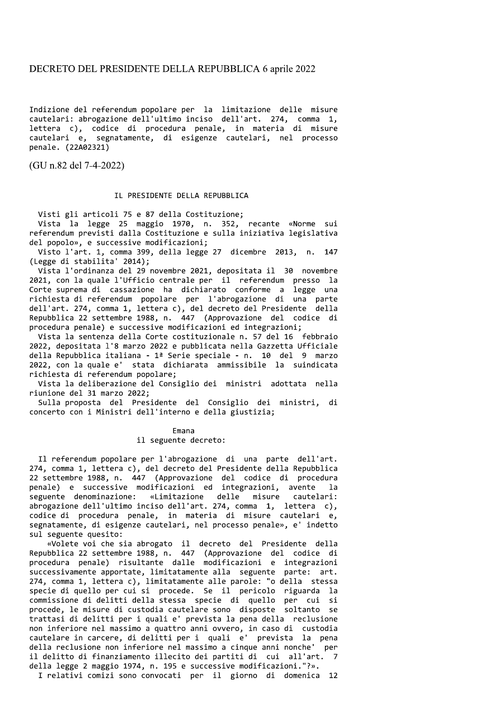## DECRETO DEL PRESIDENTE DELLA REPUBBLICA 6 aprile 2022

Indizione del referendum popolare per la limitazione delle misure cautelari: abrogazione dell'ultimo inciso dell'art. 274, comma 1, lettera c), codice di procedura penale, in materia di misure cautelari e, segnatamente, di esigenze cautelari, nel processo penale. (22A02321)

(GU n.82 del 7-4-2022)

## IL PRESIDENTE DELLA REPUBBLICA

Visti gli articoli 75 e 87 della Costituzione;

Vista la legge 25 maggio 1970, n. 352, recante «Norme sui referendum previsti dalla Costituzione e sulla iniziativa legislativa del popolo», e successive modificazioni;

Visto l'art. 1, comma 399, della legge 27 dicembre 2013, n. 147 (Legge di stabilita' 2014);

Vista l'ordinanza del 29 novembre 2021, depositata il 30 novembre 2021, con la quale l'Ufficio centrale per il referendum presso la Corte suprema di cassazione ha dichiarato conforme a legge una richiesta di referendum popolare per l'abrogazione di una parte dell'art. 274, comma 1, lettera c), del decreto del Presidente della Repubblica 22 settembre 1988, n. 447 (Approvazione del codice di procedura penale) e successive modificazioni ed integrazioni;

Vista la sentenza della Corte costituzionale n. 57 del 16 febbraio 2022, depositata l'8 marzo 2022 e pubblicata nella Gazzetta Ufficiale della Repubblica italiana - 1ª Serie speciale - n. 10 del 9 marzo 2022, con la quale e' stata dichiarata ammissibile la suindicata richiesta di referendum popolare;

Vista la deliberazione del Consiglio dei ministri adottata nella riunione del 31 marzo 2022;

Sulla proposta del Presidente del Consiglio dei ministri, di concerto con i Ministri dell'interno e della giustizia;

> Emana il seguente decreto:

Il referendum popolare per l'abrogazione di una parte dell'art. 274, comma 1, lettera c), del decreto del Presidente della Repubblica 22 settembre 1988, n. 447 (Approvazione del codice di procedura penale) e successive modificazioni ed integrazioni, avente  $1a$ seguente denominazione: «Limitazione delle misure cautelari: abrogazione dell'ultimo inciso dell'art. 274, comma 1, lettera c), codice di procedura penale, in materia di misure cautelari e, segnatamente, di esigenze cautelari, nel processo penale», e' indetto sul seguente quesito:

«Volete voi che sia abrogato il decreto del Presidente della Repubblica 22 settembre 1988, n. 447 (Approvazione del codice di<br>procedura penale) risultante dalle modificazioni e integrazioni successivamente apportate, limitatamente alla seguente parte: art. 274, comma 1, lettera c), limitatamente alle parole: "o della stessa specie di quello per cui si procede. Se il pericolo riguarda la commissione di delitti della stessa specie di quello per cui si procede, le misure di custodia cautelare sono disposte soltanto se trattasi di delitti per i quali e' prevista la pena della reclusione non inferiore nel massimo a quattro anni ovvero, in caso di custodia cautelare in carcere, di delitti per i quali e' prevista la pena della reclusione non inferiore nel massimo a cinque anni nonche' per il delitto di finanziamento illecito dei partiti di cui all'art.  $\overline{7}$ della legge 2 maggio 1974, n. 195 e successive modificazioni."?».

I relativi comizi sono convocati per il giorno di domenica 12